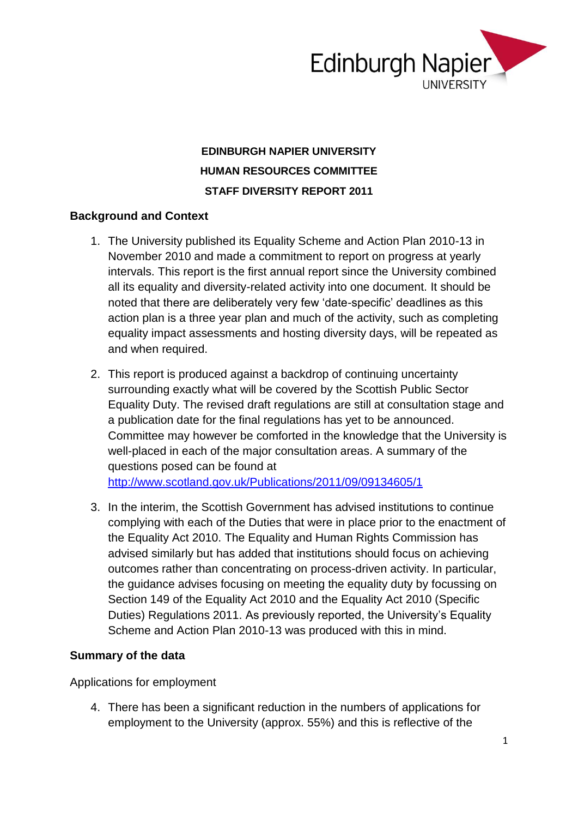

## **EDINBURGH NAPIER UNIVERSITY HUMAN RESOURCES COMMITTEE STAFF DIVERSITY REPORT 2011**

## **Background and Context**

- 1. The University published its Equality Scheme and Action Plan 2010-13 in November 2010 and made a commitment to report on progress at yearly intervals. This report is the first annual report since the University combined all its equality and diversity-related activity into one document. It should be noted that there are deliberately very few 'date-specific' deadlines as this action plan is a three year plan and much of the activity, such as completing equality impact assessments and hosting diversity days, will be repeated as and when required.
- 2. This report is produced against a backdrop of continuing uncertainty surrounding exactly what will be covered by the Scottish Public Sector Equality Duty. The revised draft regulations are still at consultation stage and a publication date for the final regulations has yet to be announced. Committee may however be comforted in the knowledge that the University is well-placed in each of the major consultation areas. A summary of the questions posed can be found at <http://www.scotland.gov.uk/Publications/2011/09/09134605/1>
- 3. In the interim, the Scottish Government has advised institutions to continue complying with each of the Duties that were in place prior to the enactment of the Equality Act 2010. The Equality and Human Rights Commission has advised similarly but has added that institutions should focus on achieving outcomes rather than concentrating on process-driven activity. In particular, the guidance advises focusing on meeting the equality duty by focussing on Section 149 of the Equality Act 2010 and the Equality Act 2010 (Specific Duties) Regulations 2011. As previously reported, the University's Equality Scheme and Action Plan 2010-13 was produced with this in mind.

### **Summary of the data**

Applications for employment

4. There has been a significant reduction in the numbers of applications for employment to the University (approx. 55%) and this is reflective of the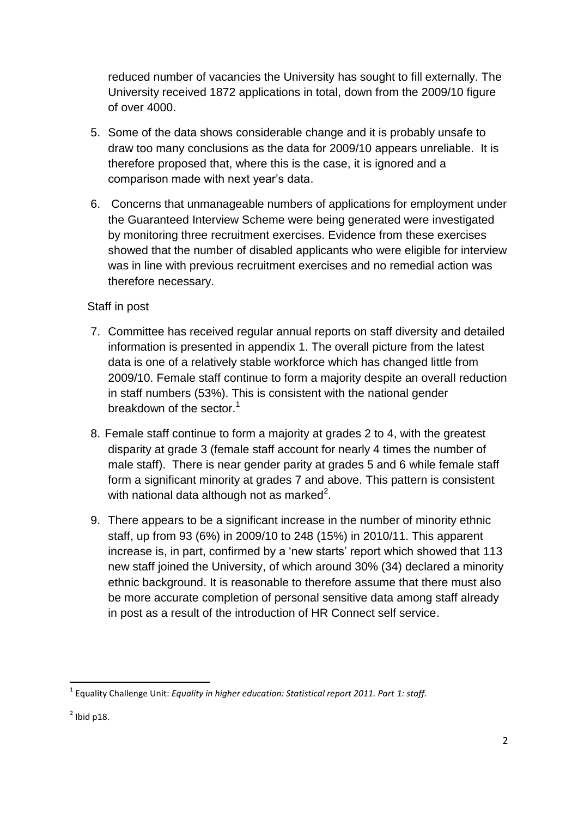reduced number of vacancies the University has sought to fill externally. The University received 1872 applications in total, down from the 2009/10 figure of over 4000.

- 5. Some of the data shows considerable change and it is probably unsafe to draw too many conclusions as the data for 2009/10 appears unreliable. It is therefore proposed that, where this is the case, it is ignored and a comparison made with next year's data.
- 6. Concerns that unmanageable numbers of applications for employment under the Guaranteed Interview Scheme were being generated were investigated by monitoring three recruitment exercises. Evidence from these exercises showed that the number of disabled applicants who were eligible for interview was in line with previous recruitment exercises and no remedial action was therefore necessary.

## Staff in post

- 7. Committee has received regular annual reports on staff diversity and detailed information is presented in appendix 1. The overall picture from the latest data is one of a relatively stable workforce which has changed little from 2009/10. Female staff continue to form a majority despite an overall reduction in staff numbers (53%). This is consistent with the national gender breakdown of the sector.<sup>1</sup>
- 8. Female staff continue to form a majority at grades 2 to 4, with the greatest disparity at grade 3 (female staff account for nearly 4 times the number of male staff). There is near gender parity at grades 5 and 6 while female staff form a significant minority at grades 7 and above. This pattern is consistent with national data although not as marked<sup>2</sup>.
- 9. There appears to be a significant increase in the number of minority ethnic staff, up from 93 (6%) in 2009/10 to 248 (15%) in 2010/11. This apparent increase is, in part, confirmed by a 'new starts' report which showed that 113 new staff joined the University, of which around 30% (34) declared a minority ethnic background. It is reasonable to therefore assume that there must also be more accurate completion of personal sensitive data among staff already in post as a result of the introduction of HR Connect self service.

**.** 

<sup>1</sup> Equality Challenge Unit: *Equality in higher education: Statistical report 2011. Part 1: staff.*

 $2$  Ibid p18.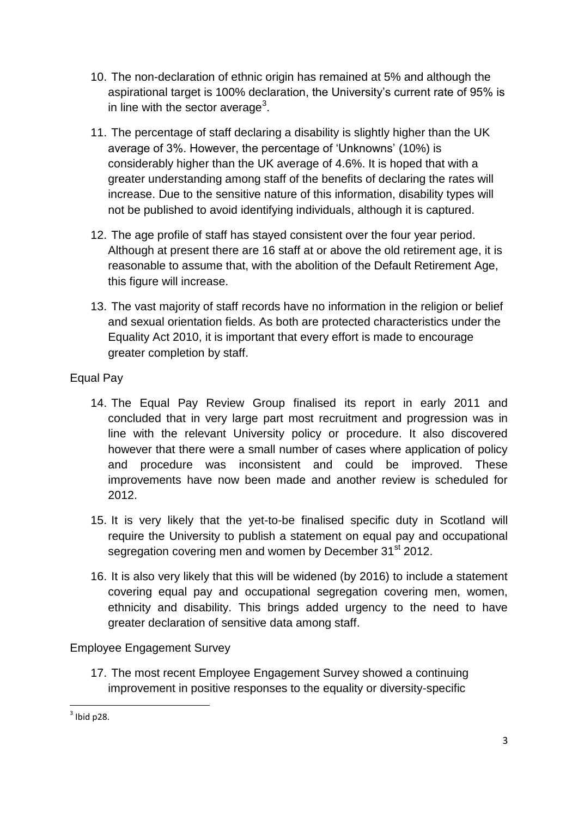- 10. The non-declaration of ethnic origin has remained at 5% and although the aspirational target is 100% declaration, the University's current rate of 95% is in line with the sector average<sup>3</sup>.
- 11. The percentage of staff declaring a disability is slightly higher than the UK average of 3%. However, the percentage of 'Unknowns' (10%) is considerably higher than the UK average of 4.6%. It is hoped that with a greater understanding among staff of the benefits of declaring the rates will increase. Due to the sensitive nature of this information, disability types will not be published to avoid identifying individuals, although it is captured.
- 12. The age profile of staff has stayed consistent over the four year period. Although at present there are 16 staff at or above the old retirement age, it is reasonable to assume that, with the abolition of the Default Retirement Age, this figure will increase.
- 13. The vast majority of staff records have no information in the religion or belief and sexual orientation fields. As both are protected characteristics under the Equality Act 2010, it is important that every effort is made to encourage greater completion by staff.

## Equal Pay

- 14. The Equal Pay Review Group finalised its report in early 2011 and concluded that in very large part most recruitment and progression was in line with the relevant University policy or procedure. It also discovered however that there were a small number of cases where application of policy and procedure was inconsistent and could be improved. These improvements have now been made and another review is scheduled for 2012.
- 15. It is very likely that the yet-to-be finalised specific duty in Scotland will require the University to publish a statement on equal pay and occupational segregation covering men and women by December 31<sup>st</sup> 2012.
- 16. It is also very likely that this will be widened (by 2016) to include a statement covering equal pay and occupational segregation covering men, women, ethnicity and disability. This brings added urgency to the need to have greater declaration of sensitive data among staff.

Employee Engagement Survey

17. The most recent Employee Engagement Survey showed a continuing improvement in positive responses to the equality or diversity-specific

**.** 

 $3$  Ibid p28.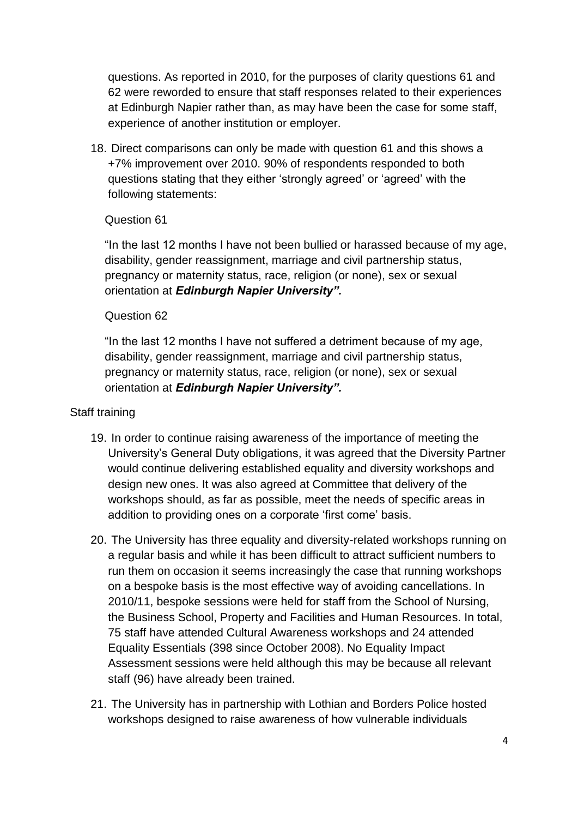questions. As reported in 2010, for the purposes of clarity questions 61 and 62 were reworded to ensure that staff responses related to their experiences at Edinburgh Napier rather than, as may have been the case for some staff, experience of another institution or employer.

18. Direct comparisons can only be made with question 61 and this shows a +7% improvement over 2010. 90% of respondents responded to both questions stating that they either 'strongly agreed' or 'agreed' with the following statements:

### Question 61

"In the last 12 months I have not been bullied or harassed because of my age, disability, gender reassignment, marriage and civil partnership status, pregnancy or maternity status, race, religion (or none), sex or sexual orientation at *Edinburgh Napier University".*

### Question 62

"In the last 12 months I have not suffered a detriment because of my age, disability, gender reassignment, marriage and civil partnership status, pregnancy or maternity status, race, religion (or none), sex or sexual orientation at *Edinburgh Napier University".*

### Staff training

- 19. In order to continue raising awareness of the importance of meeting the University's General Duty obligations, it was agreed that the Diversity Partner would continue delivering established equality and diversity workshops and design new ones. It was also agreed at Committee that delivery of the workshops should, as far as possible, meet the needs of specific areas in addition to providing ones on a corporate 'first come' basis.
- 20. The University has three equality and diversity-related workshops running on a regular basis and while it has been difficult to attract sufficient numbers to run them on occasion it seems increasingly the case that running workshops on a bespoke basis is the most effective way of avoiding cancellations. In 2010/11, bespoke sessions were held for staff from the School of Nursing, the Business School, Property and Facilities and Human Resources. In total, 75 staff have attended Cultural Awareness workshops and 24 attended Equality Essentials (398 since October 2008). No Equality Impact Assessment sessions were held although this may be because all relevant staff (96) have already been trained.
- 21. The University has in partnership with Lothian and Borders Police hosted workshops designed to raise awareness of how vulnerable individuals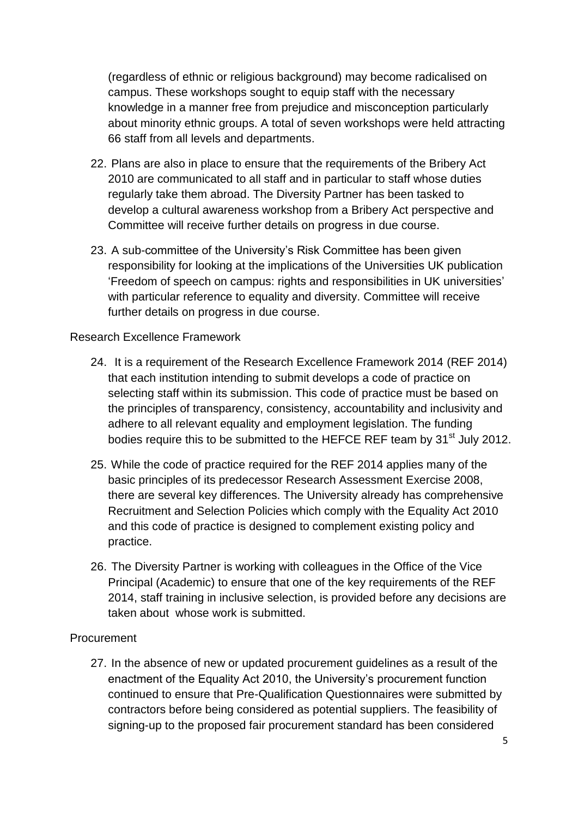(regardless of ethnic or religious background) may become radicalised on campus. These workshops sought to equip staff with the necessary knowledge in a manner free from prejudice and misconception particularly about minority ethnic groups. A total of seven workshops were held attracting 66 staff from all levels and departments.

- 22. Plans are also in place to ensure that the requirements of the Bribery Act 2010 are communicated to all staff and in particular to staff whose duties regularly take them abroad. The Diversity Partner has been tasked to develop a cultural awareness workshop from a Bribery Act perspective and Committee will receive further details on progress in due course.
- 23. A sub-committee of the University's Risk Committee has been given responsibility for looking at the implications of the Universities UK publication 'Freedom of speech on campus: rights and responsibilities in UK universities' with particular reference to equality and diversity. Committee will receive further details on progress in due course.

## Research Excellence Framework

- 24. It is a requirement of the Research Excellence Framework 2014 (REF 2014) that each institution intending to submit develops a code of practice on selecting staff within its submission. This code of practice must be based on the principles of transparency, consistency, accountability and inclusivity and adhere to all relevant equality and employment legislation. The funding bodies require this to be submitted to the HEFCE REF team by 31<sup>st</sup> July 2012.
- 25. While the code of practice required for the REF 2014 applies many of the basic principles of its predecessor Research Assessment Exercise 2008, there are several key differences. The University already has comprehensive Recruitment and Selection Policies which comply with the Equality Act 2010 and this code of practice is designed to complement existing policy and practice.
- 26. The Diversity Partner is working with colleagues in the Office of the Vice Principal (Academic) to ensure that one of the key requirements of the REF 2014, staff training in inclusive selection, is provided before any decisions are taken about whose work is submitted.

### **Procurement**

27. In the absence of new or updated procurement guidelines as a result of the enactment of the Equality Act 2010, the University's procurement function continued to ensure that Pre-Qualification Questionnaires were submitted by contractors before being considered as potential suppliers. The feasibility of signing-up to the proposed fair procurement standard has been considered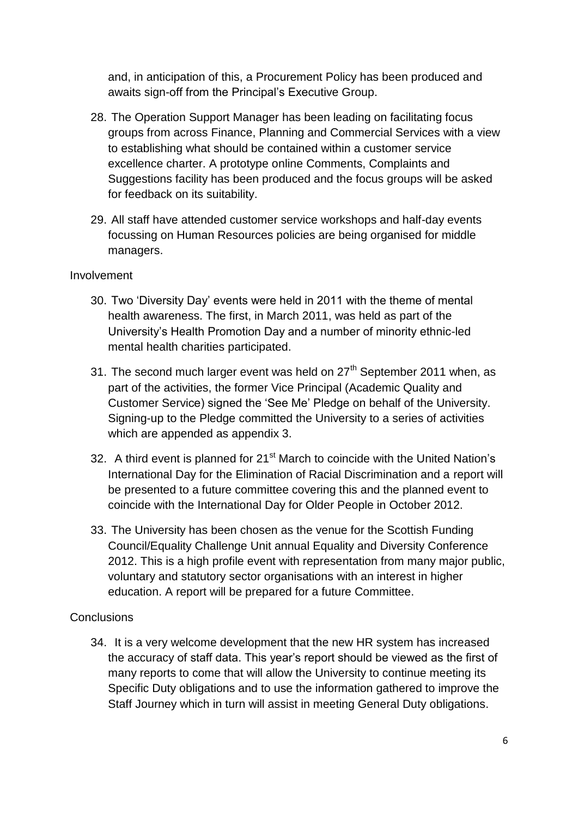and, in anticipation of this, a Procurement Policy has been produced and awaits sign-off from the Principal's Executive Group.

- 28. The Operation Support Manager has been leading on facilitating focus groups from across Finance, Planning and Commercial Services with a view to establishing what should be contained within a customer service excellence charter. A prototype online Comments, Complaints and Suggestions facility has been produced and the focus groups will be asked for feedback on its suitability.
- 29. All staff have attended customer service workshops and half-day events focussing on Human Resources policies are being organised for middle managers.

## Involvement

- 30. Two 'Diversity Day' events were held in 2011 with the theme of mental health awareness. The first, in March 2011, was held as part of the University's Health Promotion Day and a number of minority ethnic-led mental health charities participated.
- 31. The second much larger event was held on  $27<sup>th</sup>$  September 2011 when, as part of the activities, the former Vice Principal (Academic Quality and Customer Service) signed the 'See Me' Pledge on behalf of the University. Signing-up to the Pledge committed the University to a series of activities which are appended as appendix 3.
- 32. A third event is planned for 21<sup>st</sup> March to coincide with the United Nation's International Day for the Elimination of Racial Discrimination and a report will be presented to a future committee covering this and the planned event to coincide with the International Day for Older People in October 2012.
- 33. The University has been chosen as the venue for the Scottish Funding Council/Equality Challenge Unit annual Equality and Diversity Conference 2012. This is a high profile event with representation from many major public, voluntary and statutory sector organisations with an interest in higher education. A report will be prepared for a future Committee.

## **Conclusions**

34. It is a very welcome development that the new HR system has increased the accuracy of staff data. This year's report should be viewed as the first of many reports to come that will allow the University to continue meeting its Specific Duty obligations and to use the information gathered to improve the Staff Journey which in turn will assist in meeting General Duty obligations.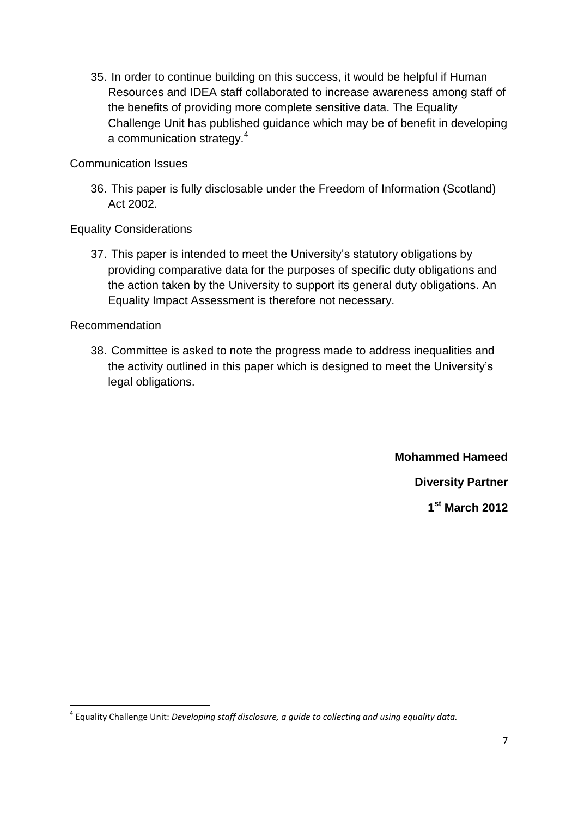35. In order to continue building on this success, it would be helpful if Human Resources and IDEA staff collaborated to increase awareness among staff of the benefits of providing more complete sensitive data. The Equality Challenge Unit has published guidance which may be of benefit in developing a communication strategy.<sup>4</sup>

Communication Issues

36. This paper is fully disclosable under the Freedom of Information (Scotland) Act 2002.

Equality Considerations

37. This paper is intended to meet the University's statutory obligations by providing comparative data for the purposes of specific duty obligations and the action taken by the University to support its general duty obligations. An Equality Impact Assessment is therefore not necessary.

Recommendation

**.** 

38. Committee is asked to note the progress made to address inequalities and the activity outlined in this paper which is designed to meet the University's legal obligations.

> **Mohammed Hameed Diversity Partner 1 st March 2012**

<sup>4</sup> Equality Challenge Unit: *Developing staff disclosure, a guide to collecting and using equality data.*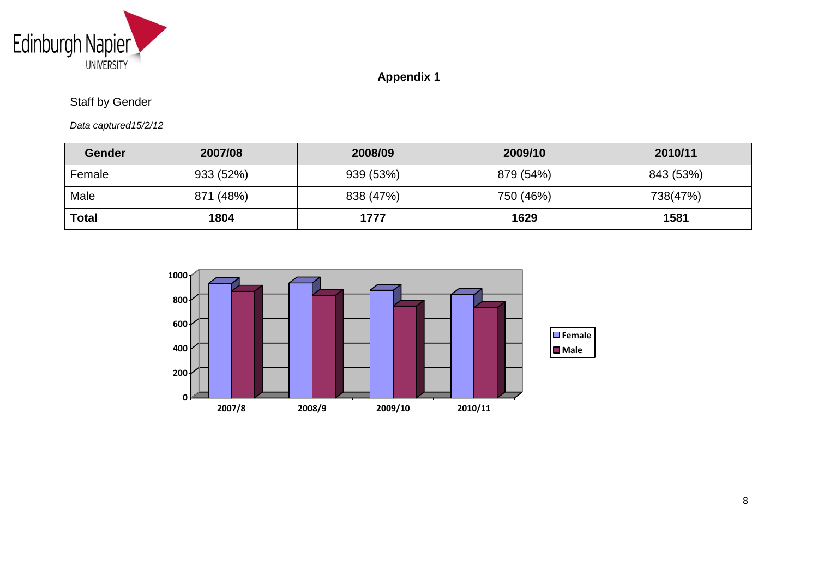

## **Appendix 1**

## Staff by Gender

*Data captured15/2/12*

| <b>Gender</b> | 2007/08   | 2008/09   | 2009/10   | 2010/11   |
|---------------|-----------|-----------|-----------|-----------|
| Female        | 933 (52%) | 939 (53%) | 879 (54%) | 843 (53%) |
| Male          | 871 (48%) | 838 (47%) | 750 (46%) | 738(47%)  |
| <b>Total</b>  | 1804      | 1777      | 1629      | 1581      |

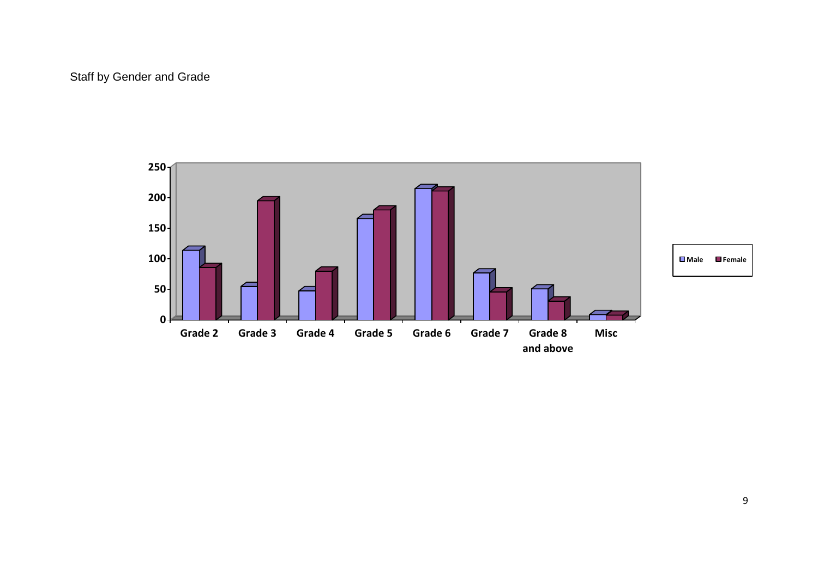## Staff by Gender and Grade

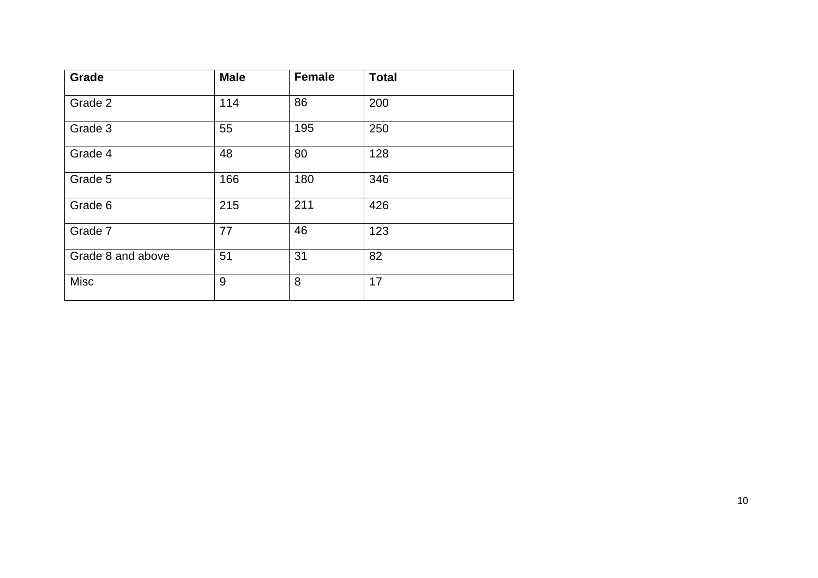| Grade             | <b>Male</b> | <b>Female</b> | <b>Total</b> |
|-------------------|-------------|---------------|--------------|
| Grade 2           | 114         | 86            | 200          |
| Grade 3           | 55          | 195           | 250          |
| Grade 4           | 48          | 80            | 128          |
| Grade 5           | 166         | 180           | 346          |
| Grade 6           | 215         | 211           | 426          |
| Grade 7           | 77          | 46            | 123          |
| Grade 8 and above | 51          | 31            | 82           |
| <b>Misc</b>       | 9           | 8             | 17           |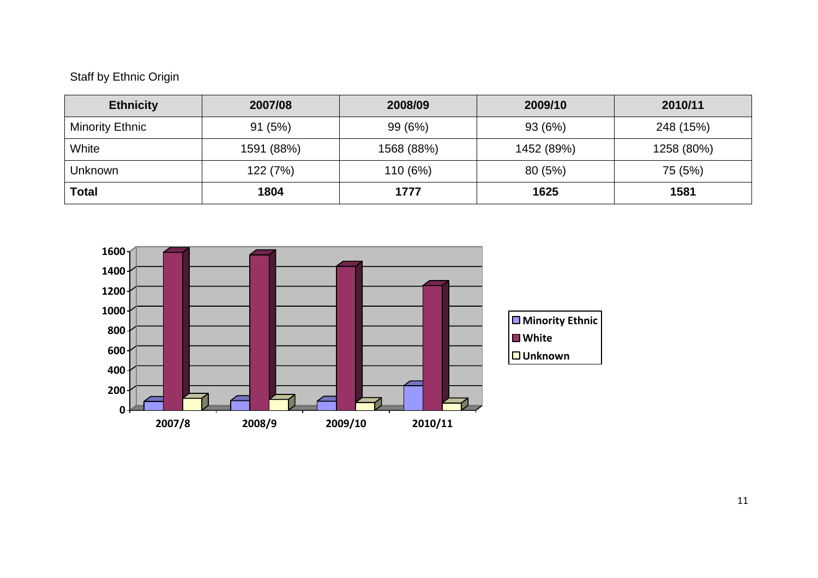## Staff by Ethnic Origin

| <b>Ethnicity</b>       | 2007/08    | 2008/09    | 2009/10    | 2010/11    |
|------------------------|------------|------------|------------|------------|
| <b>Minority Ethnic</b> | 91(5%)     | 99 (6%)    | 93 (6%)    | 248 (15%)  |
| White                  | 1591 (88%) | 1568 (88%) | 1452 (89%) | 1258 (80%) |
| <b>Unknown</b>         | 122 (7%)   | 110 (6%)   | 80 (5%)    | 75 (5%)    |
| Total                  | 1804       | 1777       | 1625       | 1581       |

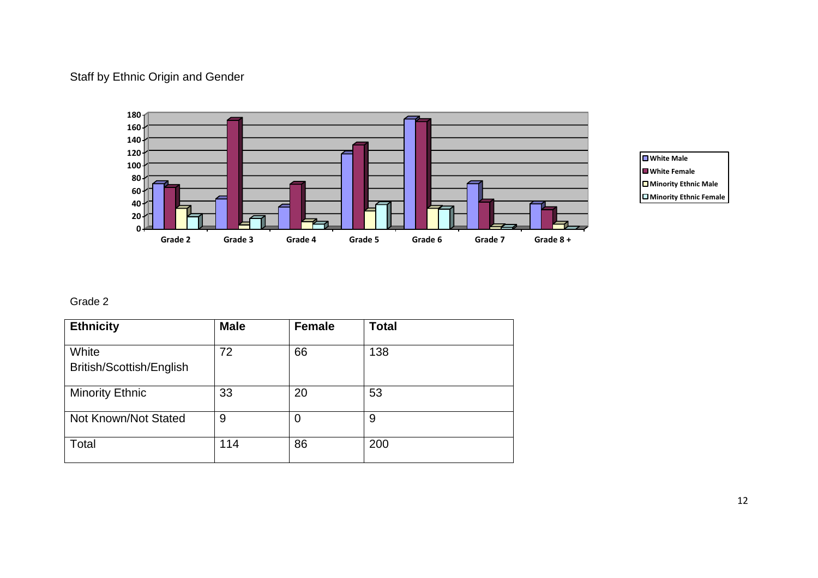## Staff by Ethnic Origin and Gender





## Grade 2

| <b>Ethnicity</b>                  | <b>Male</b> | <b>Female</b> | <b>Total</b> |
|-----------------------------------|-------------|---------------|--------------|
| White<br>British/Scottish/English | 72          | 66            | 138          |
| <b>Minority Ethnic</b>            | 33          | 20            | 53           |
| Not Known/Not Stated              | 9           | 0             | 9            |
| Total                             | 114         | 86            | 200          |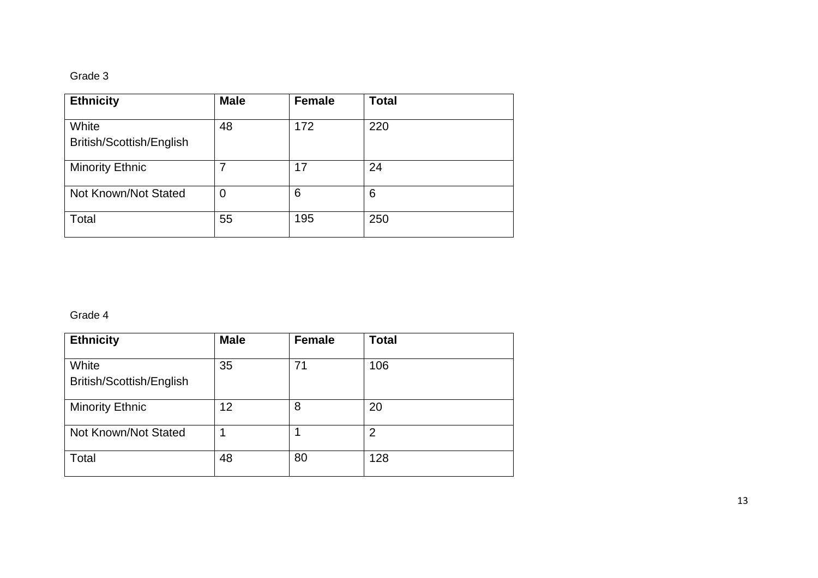#### Grade 3

| <b>Ethnicity</b>                  | <b>Male</b> | <b>Female</b> | <b>Total</b> |
|-----------------------------------|-------------|---------------|--------------|
| White<br>British/Scottish/English | 48          | 172           | 220          |
| <b>Minority Ethnic</b>            |             | 17            | 24           |
| Not Known/Not Stated              | 0           | 6             | 6            |
| Total                             | 55          | 195           | 250          |

#### Grade 4

| <b>Ethnicity</b>                  | <b>Male</b> | <b>Female</b> | <b>Total</b>   |
|-----------------------------------|-------------|---------------|----------------|
| White<br>British/Scottish/English | 35          | 71            | 106            |
| <b>Minority Ethnic</b>            | 12          | 8             | 20             |
| Not Known/Not Stated              |             |               | $\overline{2}$ |
| Total                             | 48          | 80            | 128            |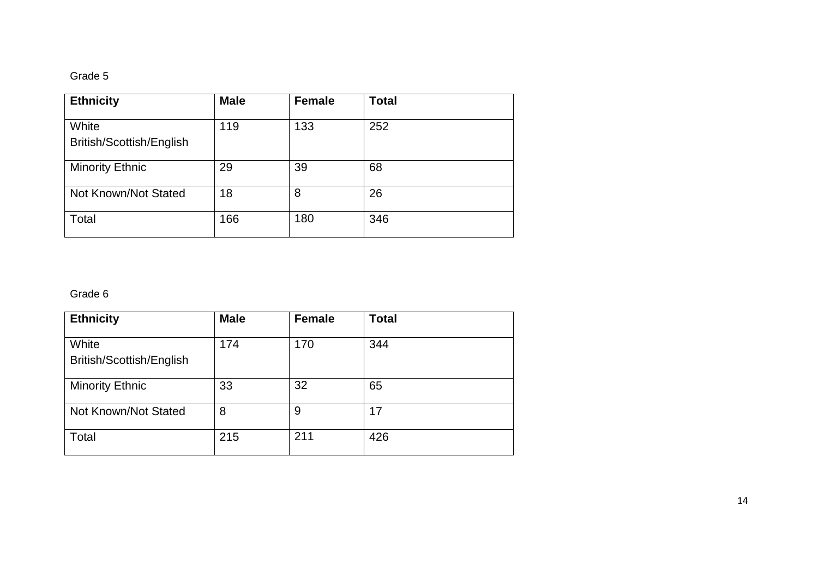#### Grade 5

| <b>Ethnicity</b>                  | <b>Male</b> | <b>Female</b> | <b>Total</b> |
|-----------------------------------|-------------|---------------|--------------|
| White<br>British/Scottish/English | 119         | 133           | 252          |
| <b>Minority Ethnic</b>            | 29          | 39            | 68           |
| Not Known/Not Stated              | 18          | 8             | 26           |
| Total                             | 166         | 180           | 346          |

#### Grade 6

| <b>Ethnicity</b>                  | <b>Male</b> | <b>Female</b> | <b>Total</b> |
|-----------------------------------|-------------|---------------|--------------|
| White<br>British/Scottish/English | 174         | 170           | 344          |
| <b>Minority Ethnic</b>            | 33          | 32            | 65           |
| Not Known/Not Stated              | 8           | 9             | 17           |
| Total                             | 215         | 211           | 426          |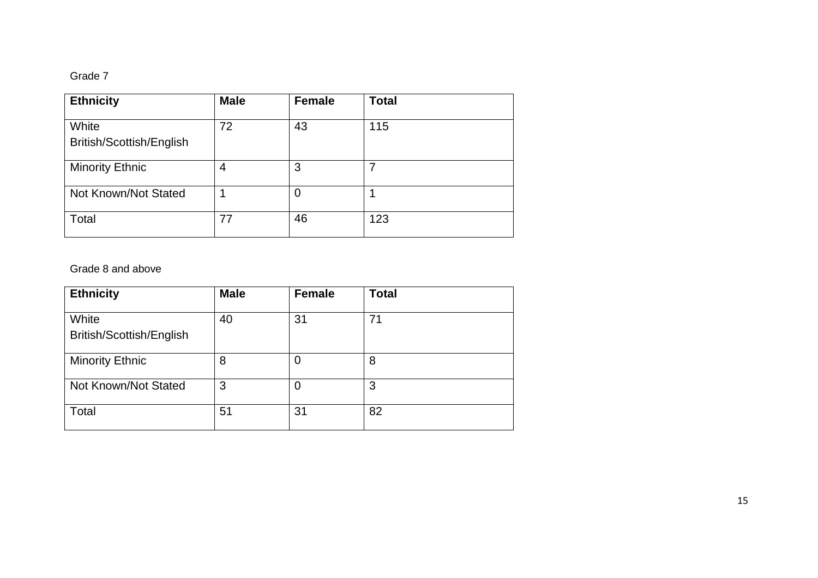#### Grade 7

| <b>Ethnicity</b>                  | <b>Male</b> | <b>Female</b> | <b>Total</b> |
|-----------------------------------|-------------|---------------|--------------|
| White<br>British/Scottish/English | 72          | 43            | 115          |
| <b>Minority Ethnic</b>            | 4           | 3             | 7            |
| Not Known/Not Stated              |             | 0             |              |
| Total                             | 77          | 46            | 123          |

### Grade 8 and above

| <b>Ethnicity</b>                  | <b>Male</b> | <b>Female</b>  | <b>Total</b> |
|-----------------------------------|-------------|----------------|--------------|
| White<br>British/Scottish/English | 40          | 31             | 71           |
| <b>Minority Ethnic</b>            | 8           | $\overline{0}$ | 8            |
| Not Known/Not Stated              | 3           | 0              | 3            |
| Total                             | 51          | 31             | 82           |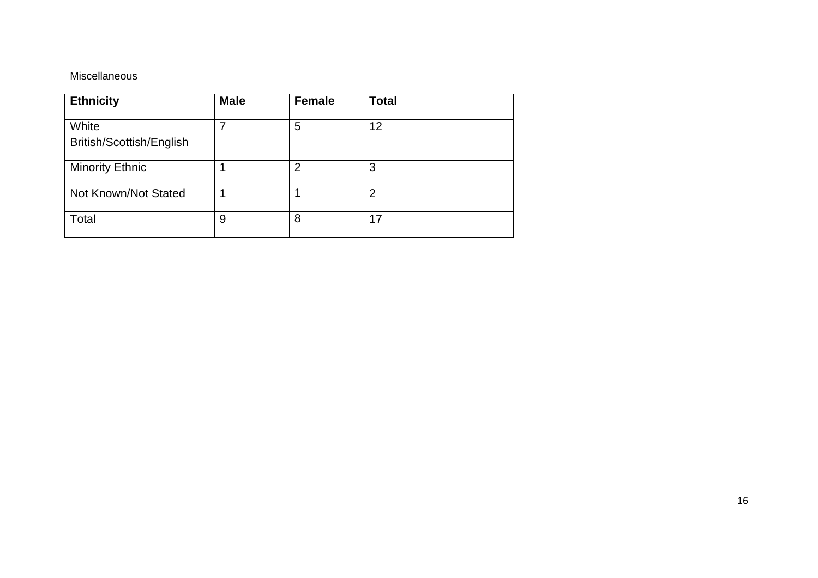### Miscellaneous

| <b>Ethnicity</b>                  | <b>Male</b> | <b>Female</b>  | <b>Total</b>   |
|-----------------------------------|-------------|----------------|----------------|
| White<br>British/Scottish/English |             | 5              | 12             |
| <b>Minority Ethnic</b>            |             | $\overline{2}$ | 3              |
| Not Known/Not Stated              |             |                | $\overline{2}$ |
| Total                             | 9           | 8              | 17             |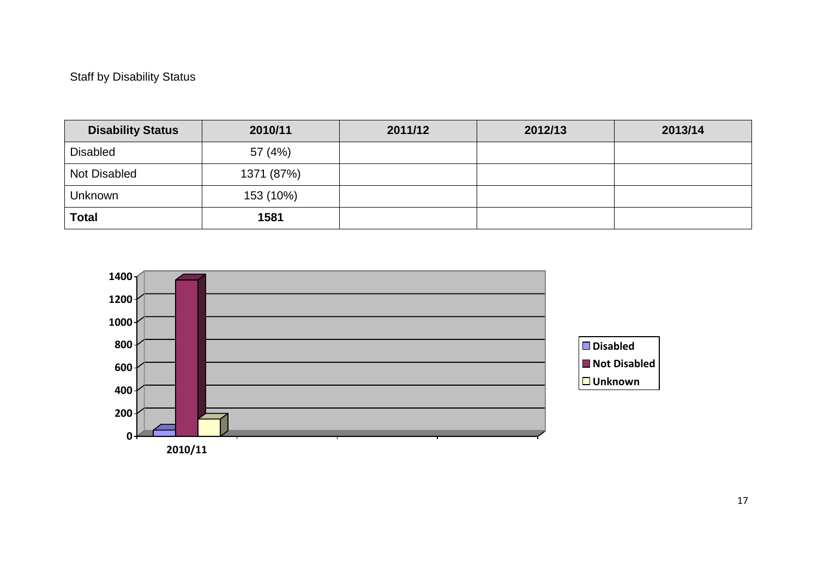## Staff by Disability Status

| <b>Disability Status</b> | 2010/11    | 2011/12 | 2012/13 | 2013/14 |
|--------------------------|------------|---------|---------|---------|
| <b>Disabled</b>          | 57 (4%)    |         |         |         |
| Not Disabled             | 1371 (87%) |         |         |         |
| <b>Unknown</b>           | 153 (10%)  |         |         |         |
| <b>Total</b>             | 1581       |         |         |         |

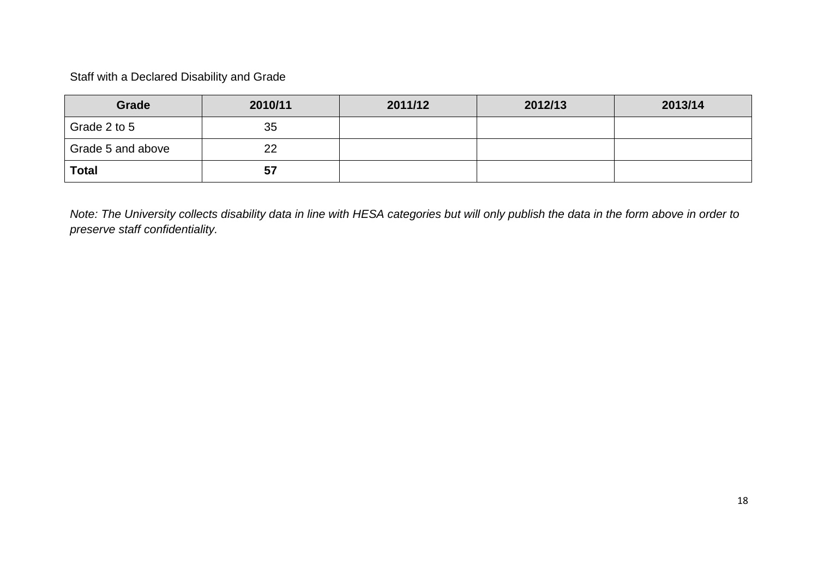Staff with a Declared Disability and Grade

| Grade             | 2010/11 | 2011/12 | 2012/13 | 2013/14 |
|-------------------|---------|---------|---------|---------|
| Grade 2 to 5      | 35      |         |         |         |
| Grade 5 and above | 22      |         |         |         |
| <b>Total</b>      | 57      |         |         |         |

*Note: The University collects disability data in line with HESA categories but will only publish the data in the form above in order to preserve staff confidentiality.*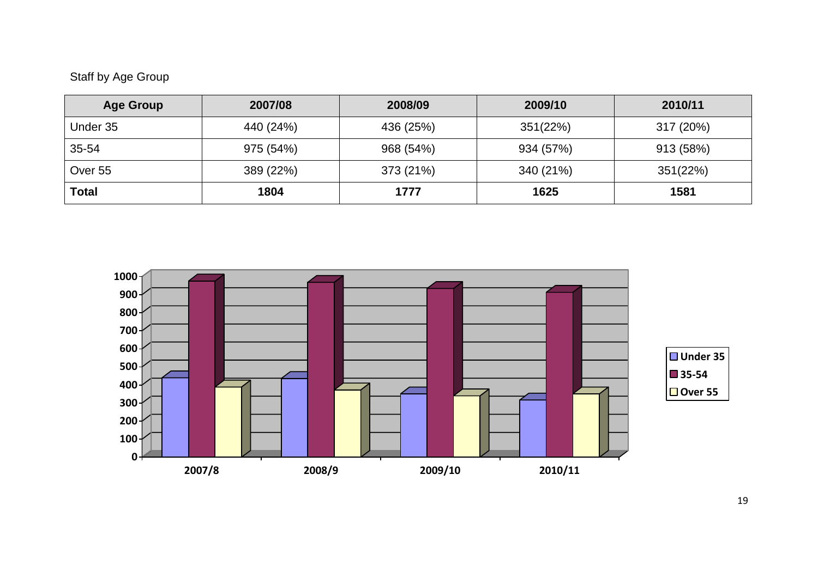## Staff by Age Group

| <b>Age Group</b> | 2007/08   | 2008/09   | 2009/10   | 2010/11   |
|------------------|-----------|-----------|-----------|-----------|
| Under 35         | 440 (24%) | 436 (25%) | 351(22%)  | 317 (20%) |
| 35-54            | 975 (54%) | 968 (54%) | 934 (57%) | 913 (58%) |
| Over 55          | 389 (22%) | 373 (21%) | 340 (21%) | 351(22%)  |
| Total            | 1804      | 1777      | 1625      | 1581      |

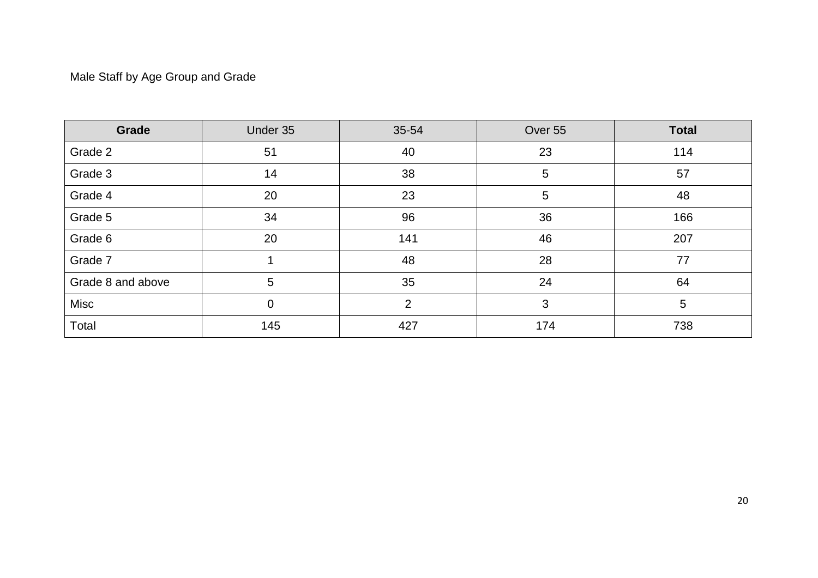## Male Staff by Age Group and Grade

| Grade             | Under 35    | 35-54          | Over 55 | <b>Total</b> |
|-------------------|-------------|----------------|---------|--------------|
| Grade 2           | 51          | 40             | 23      | 114          |
| Grade 3           | 14          | 38             | 5       | 57           |
| Grade 4           | 20          | 23             | 5       | 48           |
| Grade 5           | 34          | 96             | 36      | 166          |
| Grade 6           | 20          | 141            | 46      | 207          |
| Grade 7           |             | 48             | 28      | 77           |
| Grade 8 and above | 5           | 35             | 24      | 64           |
| Misc              | $\mathbf 0$ | $\overline{2}$ | 3       | 5            |
| Total             | 145         | 427            | 174     | 738          |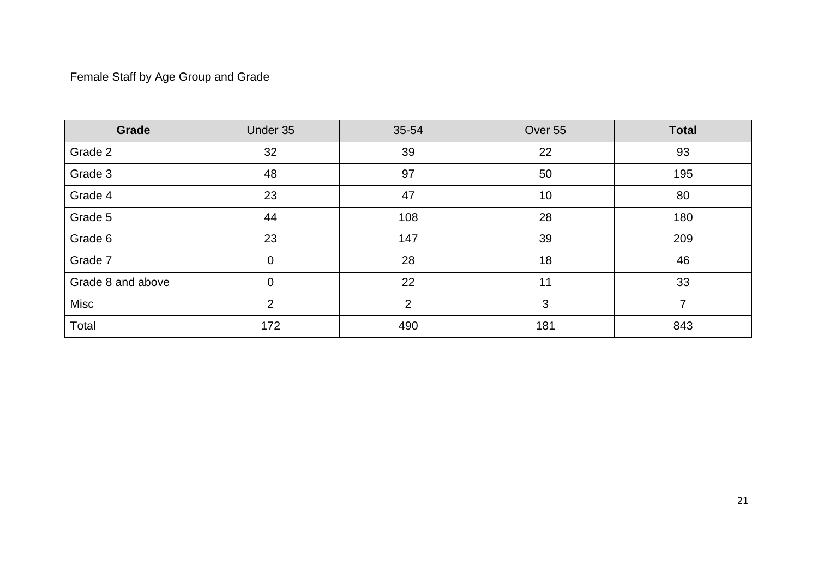## Female Staff by Age Group and Grade

| Grade             | Under 35       | 35-54          | Over 55 | <b>Total</b> |
|-------------------|----------------|----------------|---------|--------------|
| Grade 2           | 32             | 39             | 22      | 93           |
| Grade 3           | 48             | 97             | 50      | 195          |
| Grade 4           | 23             | 47             | 10      | 80           |
| Grade 5           | 44             | 108            | 28      | 180          |
| Grade 6           | 23             | 147            | 39      | 209          |
| Grade 7           | $\overline{0}$ | 28             | 18      | 46           |
| Grade 8 and above | $\overline{0}$ | 22             | 11      | 33           |
| Misc              | $\overline{2}$ | $\overline{2}$ | 3       | 7            |
| Total             | 172            | 490            | 181     | 843          |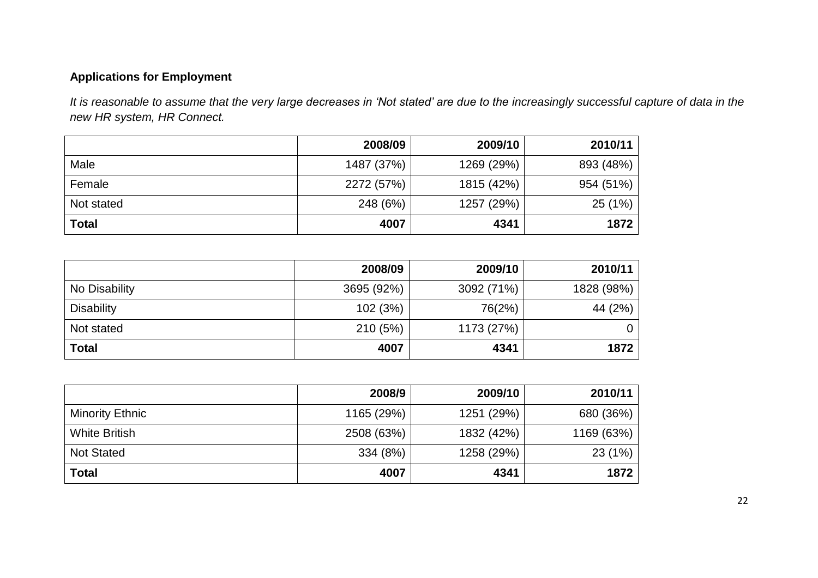## **Applications for Employment**

*It is reasonable to assume that the very large decreases in 'Not stated' are due to the increasingly successful capture of data in the new HR system, HR Connect.*

|              | 2008/09    | 2009/10    | 2010/11   |
|--------------|------------|------------|-----------|
| Male         | 1487 (37%) | 1269 (29%) | 893 (48%) |
| Female       | 2272 (57%) | 1815 (42%) | 954 (51%) |
| Not stated   | 248 (6%)   | 1257 (29%) | 25(1%)    |
| <b>Total</b> | 4007       | 4341       | 1872      |

|                   | 2008/09    | 2009/10    | 2010/11    |
|-------------------|------------|------------|------------|
| No Disability     | 3695 (92%) | 3092 (71%) | 1828 (98%) |
| <b>Disability</b> | 102 (3%)   | 76(2%)     | 44 (2%)    |
| Not stated        | 210 (5%)   | 1173 (27%) | 0          |
| <b>Total</b>      | 4007       | 4341       | 1872       |

|                        | 2008/9     | 2009/10    | 2010/11    |
|------------------------|------------|------------|------------|
| <b>Minority Ethnic</b> | 1165 (29%) | 1251 (29%) | 680 (36%)  |
| <b>White British</b>   | 2508 (63%) | 1832 (42%) | 1169 (63%) |
| <b>Not Stated</b>      | 334 (8%)   | 1258 (29%) | 23(1%)     |
| <b>Total</b>           | 4007       | 4341       | 1872       |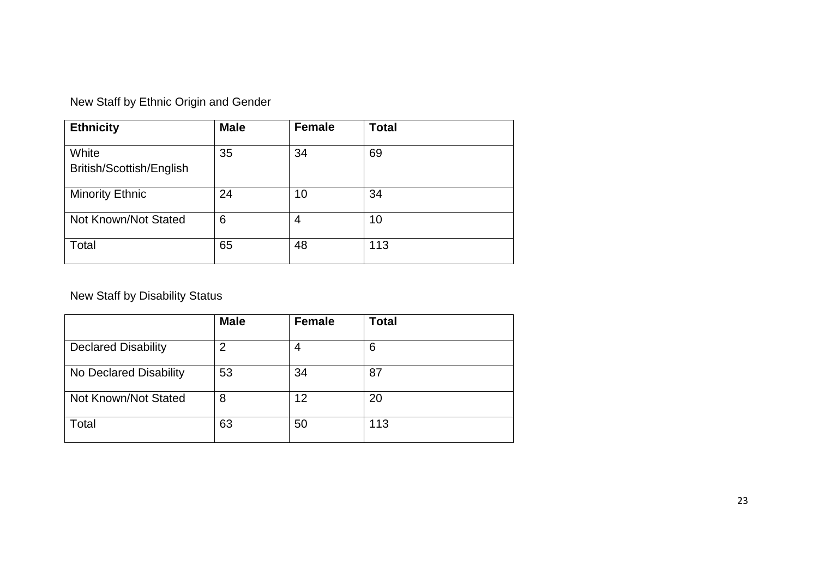|  | New Staff by Ethnic Origin and Gender |
|--|---------------------------------------|
|--|---------------------------------------|

| <b>Ethnicity</b>                  | <b>Male</b> | <b>Female</b> | <b>Total</b> |
|-----------------------------------|-------------|---------------|--------------|
| White<br>British/Scottish/English | 35          | 34            | 69           |
| <b>Minority Ethnic</b>            | 24          | 10            | 34           |
| Not Known/Not Stated              | 6           | 4             | 10           |
| Total                             | 65          | 48            | 113          |

New Staff by Disability Status

|                            | <b>Male</b>    | <b>Female</b> | <b>Total</b> |
|----------------------------|----------------|---------------|--------------|
| <b>Declared Disability</b> | $\overline{2}$ |               | 6            |
| No Declared Disability     | 53             | 34            | 87           |
| Not Known/Not Stated       | 8              | 12            | 20           |
| Total                      | 63             | 50            | 113          |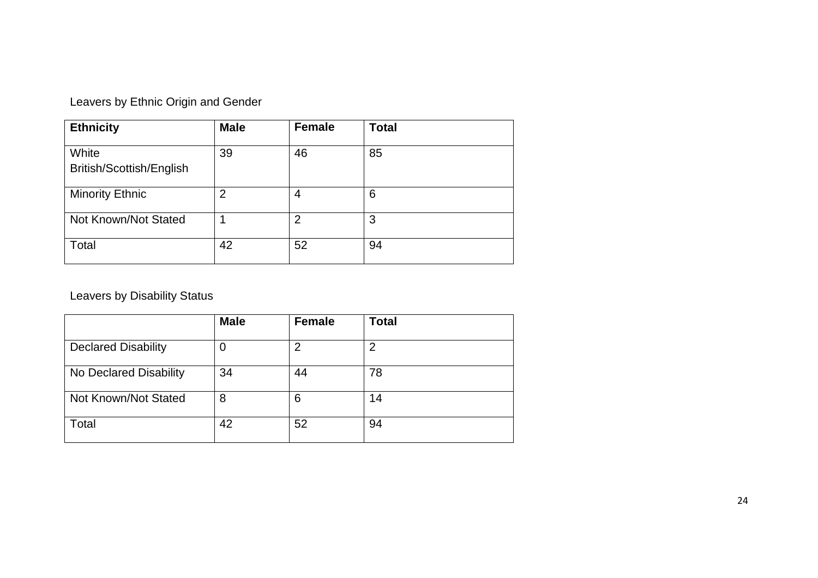| Leavers by Ethnic Origin and Gender |  |  |
|-------------------------------------|--|--|
|-------------------------------------|--|--|

| <b>Ethnicity</b>                  | <b>Male</b>    | <b>Female</b>  | <b>Total</b> |
|-----------------------------------|----------------|----------------|--------------|
| White<br>British/Scottish/English | 39             | 46             | 85           |
| <b>Minority Ethnic</b>            | $\overline{2}$ | 4              | 6            |
| Not Known/Not Stated              |                | $\overline{2}$ | 3            |
| Total                             | 42             | 52             | 94           |

Leavers by Disability Status

|                            | <b>Male</b> | <b>Female</b> | <b>Total</b> |
|----------------------------|-------------|---------------|--------------|
| <b>Declared Disability</b> | 0           | 2             | າ            |
| No Declared Disability     | 34          | 44            | 78           |
| Not Known/Not Stated       | 8           | 6             | 14           |
| Total                      | 42          | 52            | 94           |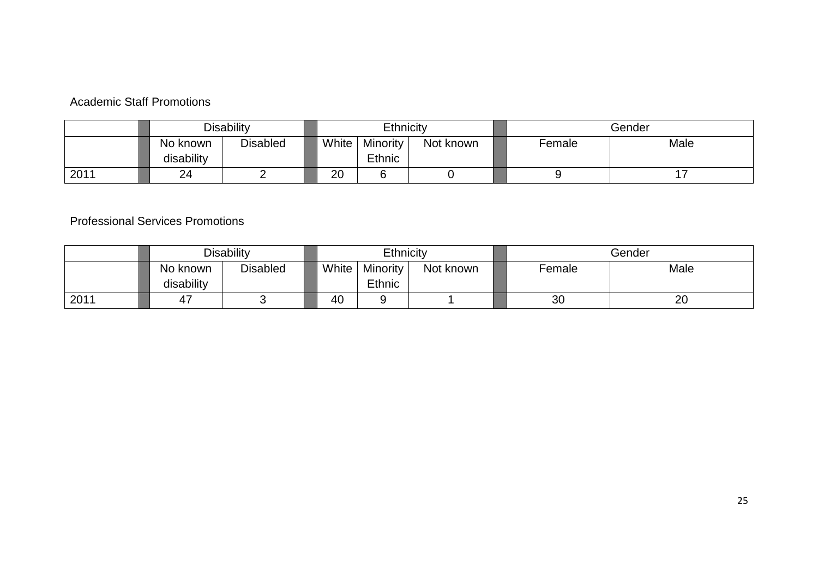## Academic Staff Promotions

|      |                        | Disability      |       | Ethnicity                 |           |        | Gender |
|------|------------------------|-----------------|-------|---------------------------|-----------|--------|--------|
|      | No known<br>disability | <b>Disabled</b> | White | <b>Minority</b><br>Ethnic | Not known | Female | Male   |
| 2011 | 24                     |                 | 20    |                           |           |        |        |

## Professional Services Promotions

|      |                        | <b>Disability</b> |       | Ethnicity          |           | Gender<br>Male<br>Female |    |
|------|------------------------|-------------------|-------|--------------------|-----------|--------------------------|----|
|      | No known<br>disability | <b>Disabled</b>   | White | Minority<br>Ethnic | Not known |                          |    |
| 2011 | 4,                     |                   | 40    |                    |           | 30                       | 20 |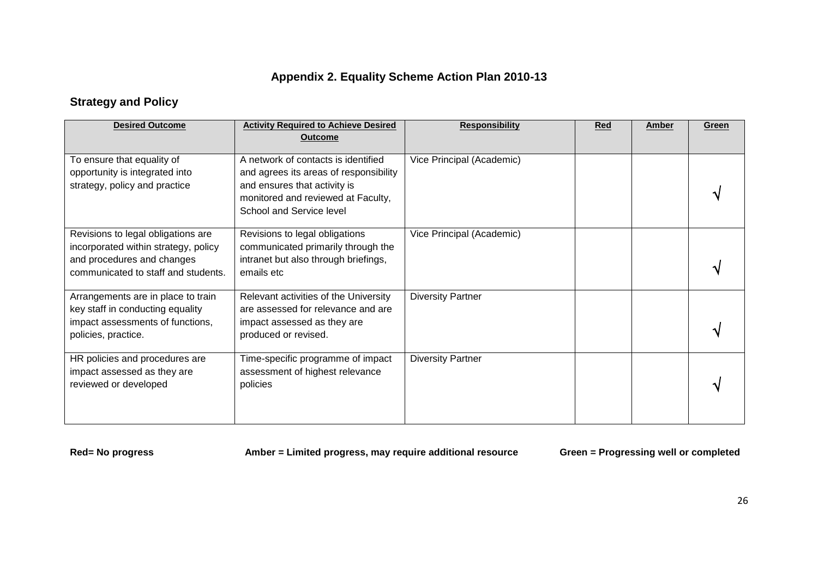## **Appendix 2. Equality Scheme Action Plan 2010-13**

## **Strategy and Policy**

| <b>Desired Outcome</b>                                                                                                            | <b>Activity Required to Achieve Desired</b><br><b>Outcome</b>                                                                      | <b>Responsibility</b>     | <b>Red</b> | Amber | Green |
|-----------------------------------------------------------------------------------------------------------------------------------|------------------------------------------------------------------------------------------------------------------------------------|---------------------------|------------|-------|-------|
| To ensure that equality of<br>opportunity is integrated into                                                                      | A network of contacts is identified<br>and agrees its areas of responsibility                                                      | Vice Principal (Academic) |            |       |       |
| strategy, policy and practice                                                                                                     | and ensures that activity is<br>monitored and reviewed at Faculty,<br>School and Service level                                     |                           |            |       |       |
| Revisions to legal obligations are<br>incorporated within strategy, policy                                                        | Revisions to legal obligations<br>communicated primarily through the                                                               | Vice Principal (Academic) |            |       |       |
| and procedures and changes<br>communicated to staff and students.                                                                 | intranet but also through briefings,<br>emails etc.                                                                                |                           |            |       |       |
| Arrangements are in place to train<br>key staff in conducting equality<br>impact assessments of functions,<br>policies, practice. | Relevant activities of the University<br>are assessed for relevance and are<br>impact assessed as they are<br>produced or revised. | <b>Diversity Partner</b>  |            |       |       |
| HR policies and procedures are<br>impact assessed as they are<br>reviewed or developed                                            | Time-specific programme of impact<br>assessment of highest relevance<br>policies                                                   | <b>Diversity Partner</b>  |            |       |       |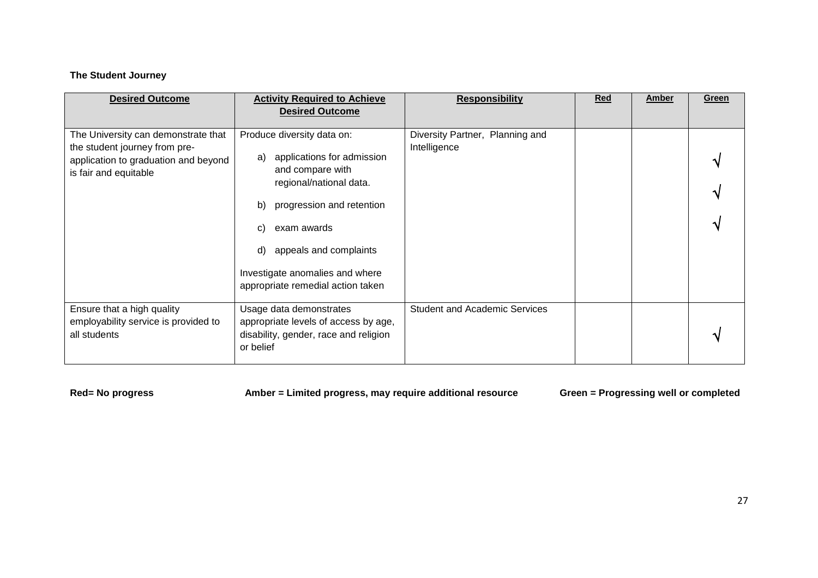## **The Student Journey**

| <b>Desired Outcome</b>                                                                                                                | <b>Activity Required to Achieve</b><br><b>Desired Outcome</b>                                                                                                                                                                                                                 | <b>Responsibility</b>                           | Red | <b>Amber</b> | Green |
|---------------------------------------------------------------------------------------------------------------------------------------|-------------------------------------------------------------------------------------------------------------------------------------------------------------------------------------------------------------------------------------------------------------------------------|-------------------------------------------------|-----|--------------|-------|
| The University can demonstrate that<br>the student journey from pre-<br>application to graduation and beyond<br>is fair and equitable | Produce diversity data on:<br>applications for admission<br>a)<br>and compare with<br>regional/national data.<br>progression and retention<br>b)<br>exam awards<br>C)<br>appeals and complaints<br>d)<br>Investigate anomalies and where<br>appropriate remedial action taken | Diversity Partner, Planning and<br>Intelligence |     |              |       |
| Ensure that a high quality<br>employability service is provided to<br>all students                                                    | Usage data demonstrates<br>appropriate levels of access by age,<br>disability, gender, race and religion<br>or belief                                                                                                                                                         | <b>Student and Academic Services</b>            |     |              |       |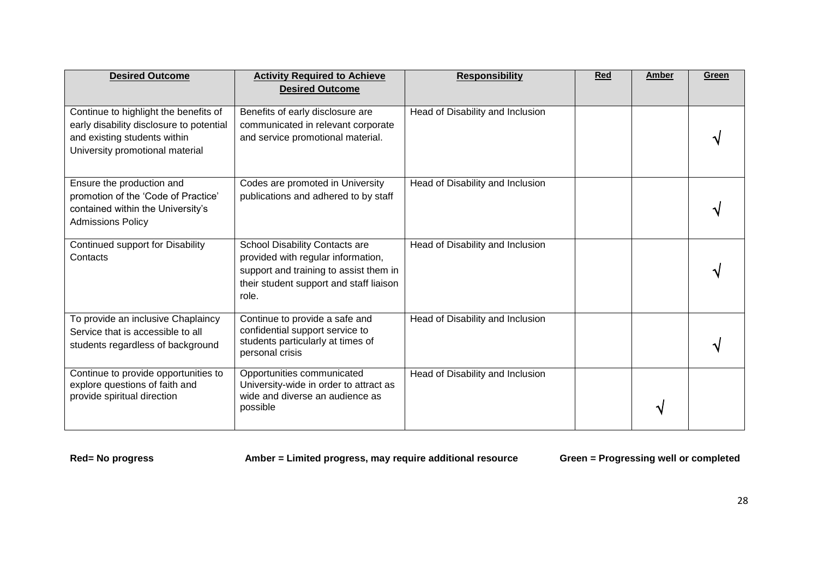| <b>Desired Outcome</b>                                                                                                                               | <b>Activity Required to Achieve</b><br><b>Desired Outcome</b>                                                                                                      | <b>Responsibility</b>            | <b>Red</b> | <b>Amber</b> | Green |
|------------------------------------------------------------------------------------------------------------------------------------------------------|--------------------------------------------------------------------------------------------------------------------------------------------------------------------|----------------------------------|------------|--------------|-------|
| Continue to highlight the benefits of<br>early disability disclosure to potential<br>and existing students within<br>University promotional material | Benefits of early disclosure are<br>communicated in relevant corporate<br>and service promotional material.                                                        | Head of Disability and Inclusion |            |              |       |
| Ensure the production and<br>promotion of the 'Code of Practice'<br>contained within the University's<br><b>Admissions Policy</b>                    | Codes are promoted in University<br>publications and adhered to by staff                                                                                           | Head of Disability and Inclusion |            |              |       |
| Continued support for Disability<br>Contacts                                                                                                         | School Disability Contacts are<br>provided with regular information,<br>support and training to assist them in<br>their student support and staff liaison<br>role. | Head of Disability and Inclusion |            |              |       |
| To provide an inclusive Chaplaincy<br>Service that is accessible to all<br>students regardless of background                                         | Continue to provide a safe and<br>confidential support service to<br>students particularly at times of<br>personal crisis                                          | Head of Disability and Inclusion |            |              |       |
| Continue to provide opportunities to<br>explore questions of faith and<br>provide spiritual direction                                                | Opportunities communicated<br>University-wide in order to attract as<br>wide and diverse an audience as<br>possible                                                | Head of Disability and Inclusion |            |              |       |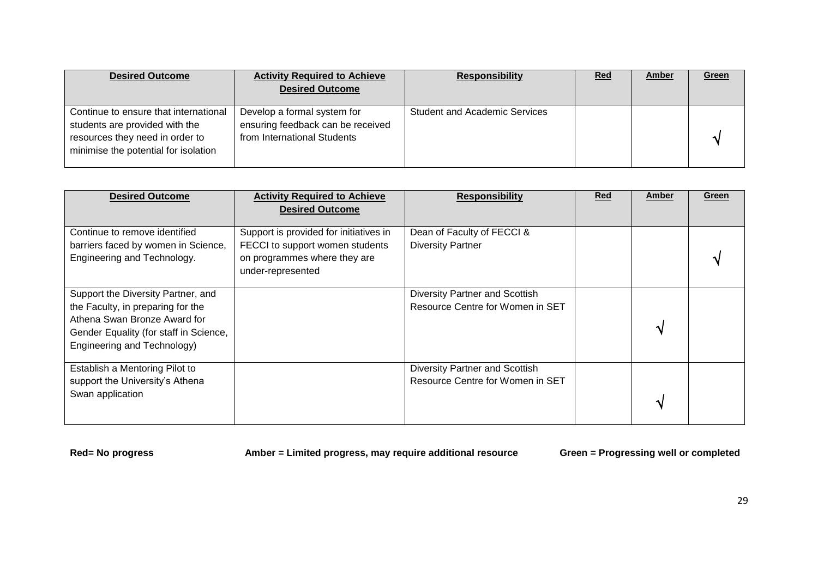| <b>Desired Outcome</b>                                                                                                                             | <b>Activity Required to Achieve</b><br><b>Desired Outcome</b>                                   | <b>Responsibility</b>                | <u>Red</u> | Amber | <b>Green</b> |
|----------------------------------------------------------------------------------------------------------------------------------------------------|-------------------------------------------------------------------------------------------------|--------------------------------------|------------|-------|--------------|
| Continue to ensure that international<br>students are provided with the<br>resources they need in order to<br>minimise the potential for isolation | Develop a formal system for<br>ensuring feedback can be received<br>from International Students | <b>Student and Academic Services</b> |            |       |              |

| <b>Desired Outcome</b>                                                                                                                                                           | <b>Activity Required to Achieve</b><br><b>Desired Outcome</b>                                                                  | <b>Responsibility</b>                                                     | Red | Amber | Green |
|----------------------------------------------------------------------------------------------------------------------------------------------------------------------------------|--------------------------------------------------------------------------------------------------------------------------------|---------------------------------------------------------------------------|-----|-------|-------|
| Continue to remove identified<br>barriers faced by women in Science,<br>Engineering and Technology.                                                                              | Support is provided for initiatives in<br>FECCI to support women students<br>on programmes where they are<br>under-represented | Dean of Faculty of FECCI &<br><b>Diversity Partner</b>                    |     |       |       |
| Support the Diversity Partner, and<br>the Faculty, in preparing for the<br>Athena Swan Bronze Award for<br>Gender Equality (for staff in Science,<br>Engineering and Technology) |                                                                                                                                | Diversity Partner and Scottish<br>Resource Centre for Women in SET        |     |       |       |
| Establish a Mentoring Pilot to<br>support the University's Athena<br>Swan application                                                                                            |                                                                                                                                | <b>Diversity Partner and Scottish</b><br>Resource Centre for Women in SET |     |       |       |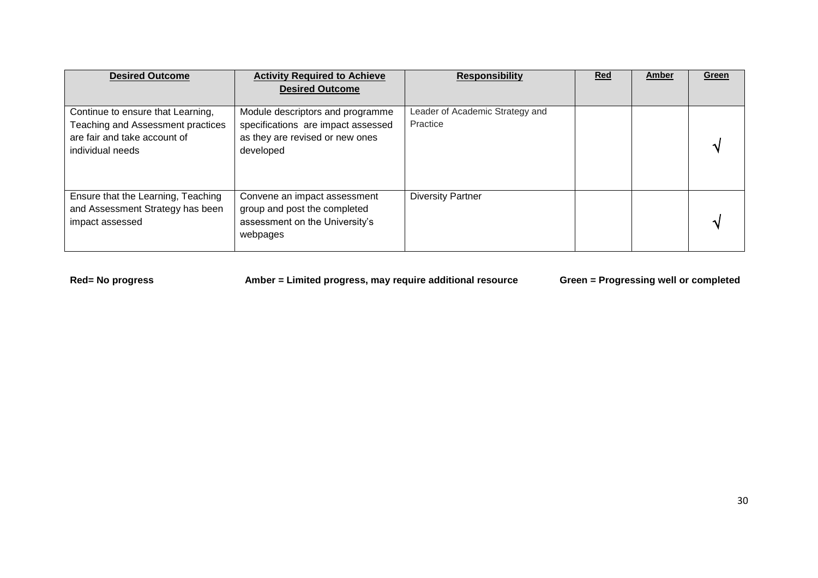| <b>Desired Outcome</b>                                                                                                     | <b>Activity Required to Achieve</b><br><b>Desired Outcome</b>                                                          | <b>Responsibility</b>                       | <b>Red</b> | Amber | Green |
|----------------------------------------------------------------------------------------------------------------------------|------------------------------------------------------------------------------------------------------------------------|---------------------------------------------|------------|-------|-------|
| Continue to ensure that Learning,<br>Teaching and Assessment practices<br>are fair and take account of<br>individual needs | Module descriptors and programme<br>specifications are impact assessed<br>as they are revised or new ones<br>developed | Leader of Academic Strategy and<br>Practice |            |       |       |
| Ensure that the Learning, Teaching<br>and Assessment Strategy has been<br>impact assessed                                  | Convene an impact assessment<br>group and post the completed<br>assessment on the University's<br>webpages             | <b>Diversity Partner</b>                    |            |       |       |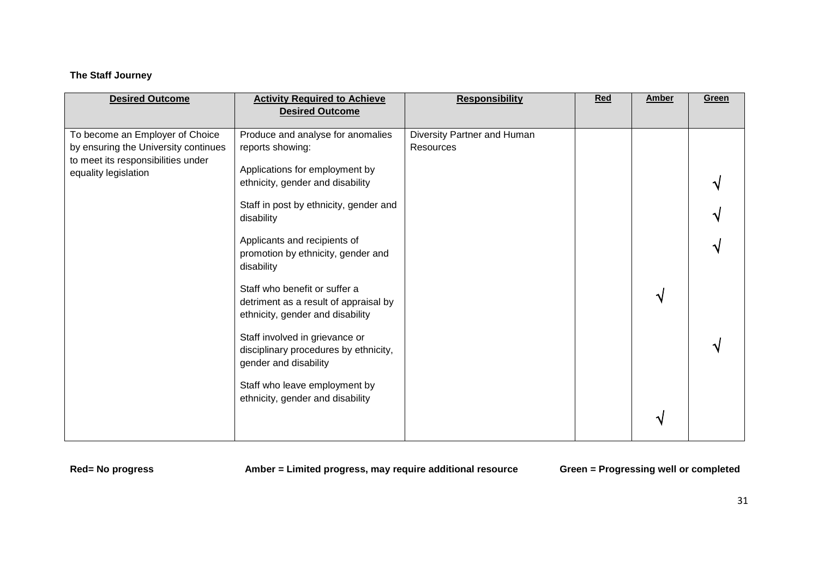## **The Staff Journey**

| <b>Desired Outcome</b>                                                                                                                | <b>Activity Required to Achieve</b><br><b>Desired Outcome</b>                                                                                                                                                                                                                                                                                                                                                                                                                                                                                                  | <b>Responsibility</b>                    | Red | Amber | Green |
|---------------------------------------------------------------------------------------------------------------------------------------|----------------------------------------------------------------------------------------------------------------------------------------------------------------------------------------------------------------------------------------------------------------------------------------------------------------------------------------------------------------------------------------------------------------------------------------------------------------------------------------------------------------------------------------------------------------|------------------------------------------|-----|-------|-------|
| To become an Employer of Choice<br>by ensuring the University continues<br>to meet its responsibilities under<br>equality legislation | Produce and analyse for anomalies<br>reports showing:<br>Applications for employment by<br>ethnicity, gender and disability<br>Staff in post by ethnicity, gender and<br>disability<br>Applicants and recipients of<br>promotion by ethnicity, gender and<br>disability<br>Staff who benefit or suffer a<br>detriment as a result of appraisal by<br>ethnicity, gender and disability<br>Staff involved in grievance or<br>disciplinary procedures by ethnicity,<br>gender and disability<br>Staff who leave employment by<br>ethnicity, gender and disability | Diversity Partner and Human<br>Resources |     | ิง    |       |
|                                                                                                                                       |                                                                                                                                                                                                                                                                                                                                                                                                                                                                                                                                                                |                                          |     | ٦ι    |       |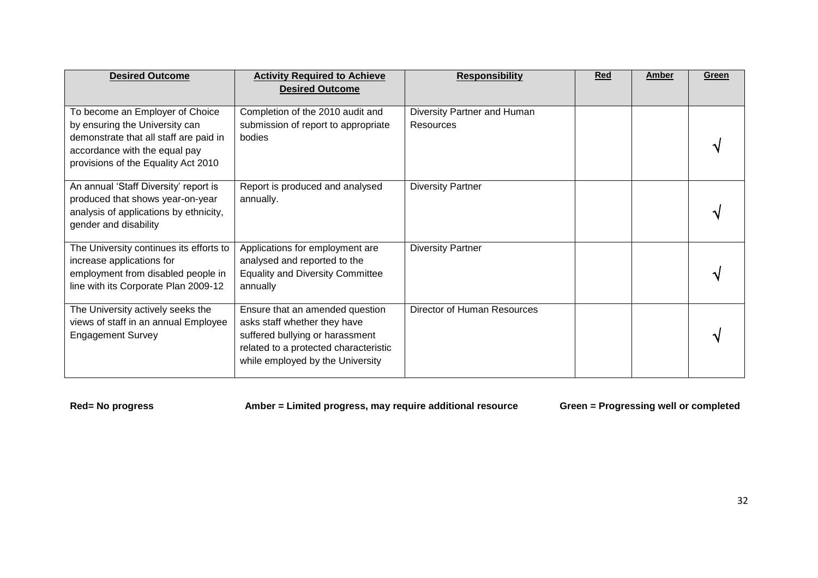| <b>Desired Outcome</b>                                                                                                                                                              | <b>Activity Required to Achieve</b><br><b>Desired Outcome</b>                                                                                                                   | <b>Responsibility</b>                           | <b>Red</b> | <b>Amber</b> | Green |
|-------------------------------------------------------------------------------------------------------------------------------------------------------------------------------------|---------------------------------------------------------------------------------------------------------------------------------------------------------------------------------|-------------------------------------------------|------------|--------------|-------|
| To become an Employer of Choice<br>by ensuring the University can<br>demonstrate that all staff are paid in<br>accordance with the equal pay<br>provisions of the Equality Act 2010 | Completion of the 2010 audit and<br>submission of report to appropriate<br>bodies                                                                                               | Diversity Partner and Human<br><b>Resources</b> |            |              |       |
| An annual 'Staff Diversity' report is<br>produced that shows year-on-year<br>analysis of applications by ethnicity,<br>gender and disability                                        | Report is produced and analysed<br>annually.                                                                                                                                    | <b>Diversity Partner</b>                        |            |              |       |
| The University continues its efforts to<br>increase applications for<br>employment from disabled people in<br>line with its Corporate Plan 2009-12                                  | Applications for employment are<br>analysed and reported to the<br><b>Equality and Diversity Committee</b><br>annually                                                          | <b>Diversity Partner</b>                        |            |              |       |
| The University actively seeks the<br>views of staff in an annual Employee<br><b>Engagement Survey</b>                                                                               | Ensure that an amended question<br>asks staff whether they have<br>suffered bullying or harassment<br>related to a protected characteristic<br>while employed by the University | Director of Human Resources                     |            |              |       |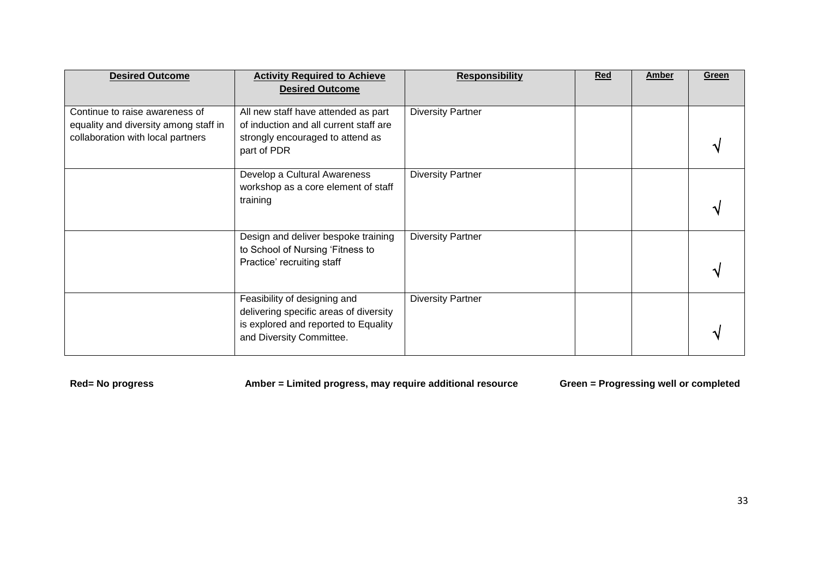| <b>Desired Outcome</b>                                                                                       | <b>Activity Required to Achieve</b><br><b>Desired Outcome</b>                                                                              | <b>Responsibility</b>    | <b>Red</b> | <b>Amber</b> | Green |
|--------------------------------------------------------------------------------------------------------------|--------------------------------------------------------------------------------------------------------------------------------------------|--------------------------|------------|--------------|-------|
| Continue to raise awareness of<br>equality and diversity among staff in<br>collaboration with local partners | All new staff have attended as part<br>of induction and all current staff are<br>strongly encouraged to attend as<br>part of PDR           | <b>Diversity Partner</b> |            |              |       |
|                                                                                                              | Develop a Cultural Awareness<br>workshop as a core element of staff<br>training                                                            | <b>Diversity Partner</b> |            |              |       |
|                                                                                                              | Design and deliver bespoke training<br>to School of Nursing 'Fitness to<br>Practice' recruiting staff                                      | <b>Diversity Partner</b> |            |              |       |
|                                                                                                              | Feasibility of designing and<br>delivering specific areas of diversity<br>is explored and reported to Equality<br>and Diversity Committee. | <b>Diversity Partner</b> |            |              |       |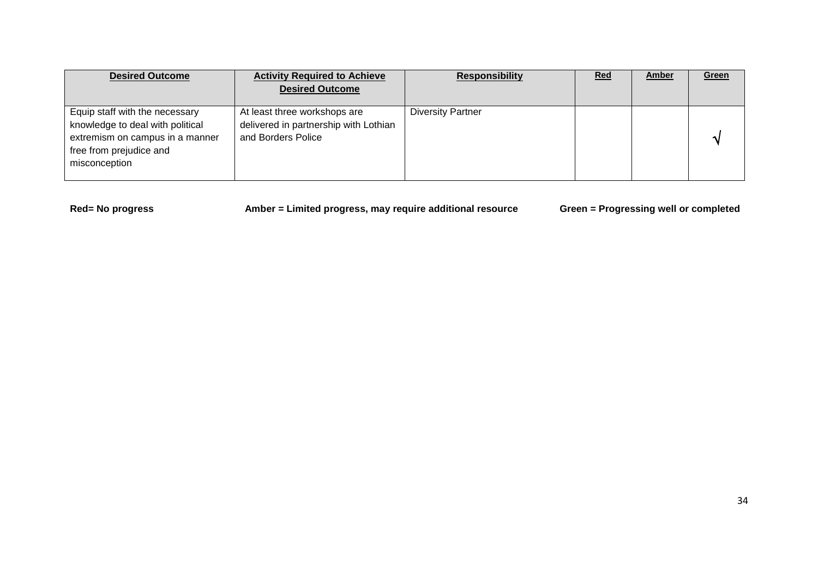| <b>Desired Outcome</b>                                                                                                                            | <b>Activity Required to Achieve</b><br><b>Desired Outcome</b>                               | <b>Responsibility</b>    | <b>Red</b> | <b>Amber</b> | Green |
|---------------------------------------------------------------------------------------------------------------------------------------------------|---------------------------------------------------------------------------------------------|--------------------------|------------|--------------|-------|
| Equip staff with the necessary<br>knowledge to deal with political<br>extremism on campus in a manner<br>free from prejudice and<br>misconception | At least three workshops are<br>delivered in partnership with Lothian<br>and Borders Police | <b>Diversity Partner</b> |            |              |       |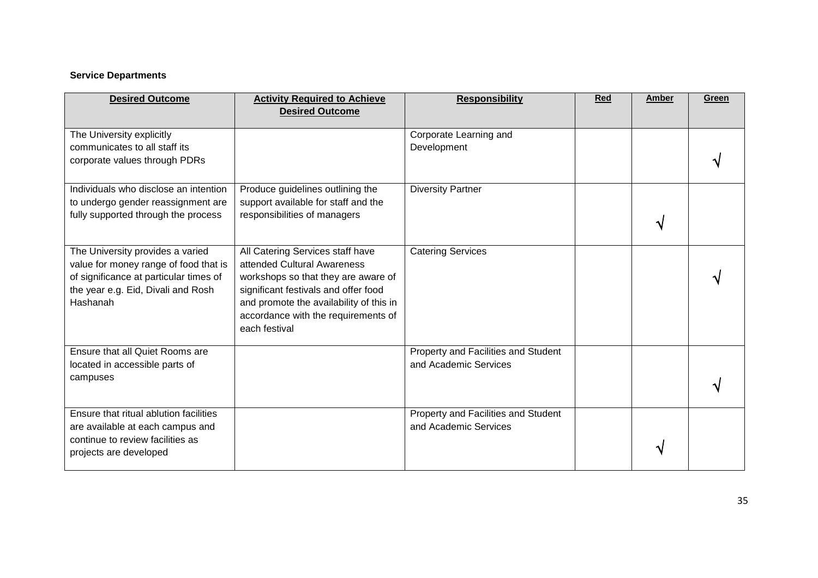### **Service Departments**

| <b>Desired Outcome</b>                                                                                                                                                | <b>Activity Required to Achieve</b><br><b>Desired Outcome</b>                                                                                                                                                                                     | <b>Responsibility</b>                                        | <b>Red</b> | Amber | Green |
|-----------------------------------------------------------------------------------------------------------------------------------------------------------------------|---------------------------------------------------------------------------------------------------------------------------------------------------------------------------------------------------------------------------------------------------|--------------------------------------------------------------|------------|-------|-------|
| The University explicitly<br>communicates to all staff its<br>corporate values through PDRs                                                                           |                                                                                                                                                                                                                                                   | Corporate Learning and<br>Development                        |            |       |       |
| Individuals who disclose an intention<br>to undergo gender reassignment are<br>fully supported through the process                                                    | Produce guidelines outlining the<br>support available for staff and the<br>responsibilities of managers                                                                                                                                           | <b>Diversity Partner</b>                                     |            |       |       |
| The University provides a varied<br>value for money range of food that is<br>of significance at particular times of<br>the year e.g. Eid, Divali and Rosh<br>Hashanah | All Catering Services staff have<br>attended Cultural Awareness<br>workshops so that they are aware of<br>significant festivals and offer food<br>and promote the availability of this in<br>accordance with the requirements of<br>each festival | <b>Catering Services</b>                                     |            |       |       |
| Ensure that all Quiet Rooms are<br>located in accessible parts of<br>campuses                                                                                         |                                                                                                                                                                                                                                                   | Property and Facilities and Student<br>and Academic Services |            |       |       |
| Ensure that ritual ablution facilities<br>are available at each campus and<br>continue to review facilities as<br>projects are developed                              |                                                                                                                                                                                                                                                   | Property and Facilities and Student<br>and Academic Services |            |       |       |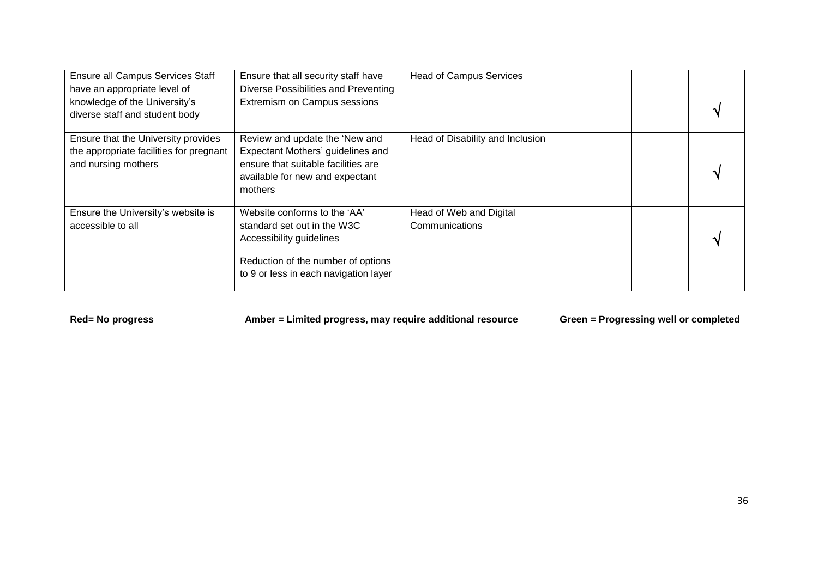| <b>Ensure all Campus Services Staff</b><br>have an appropriate level of<br>knowledge of the University's<br>diverse staff and student body | Ensure that all security staff have<br>Diverse Possibilities and Preventing<br>Extremism on Campus sessions                                                            | <b>Head of Campus Services</b>            |  |
|--------------------------------------------------------------------------------------------------------------------------------------------|------------------------------------------------------------------------------------------------------------------------------------------------------------------------|-------------------------------------------|--|
| Ensure that the University provides<br>the appropriate facilities for pregnant<br>and nursing mothers                                      | Review and update the 'New and<br>Expectant Mothers' guidelines and<br>ensure that suitable facilities are<br>available for new and expectant<br>mothers               | Head of Disability and Inclusion          |  |
| Ensure the University's website is<br>accessible to all                                                                                    | Website conforms to the 'AA'<br>standard set out in the W3C<br>Accessibility guidelines<br>Reduction of the number of options<br>to 9 or less in each navigation layer | Head of Web and Digital<br>Communications |  |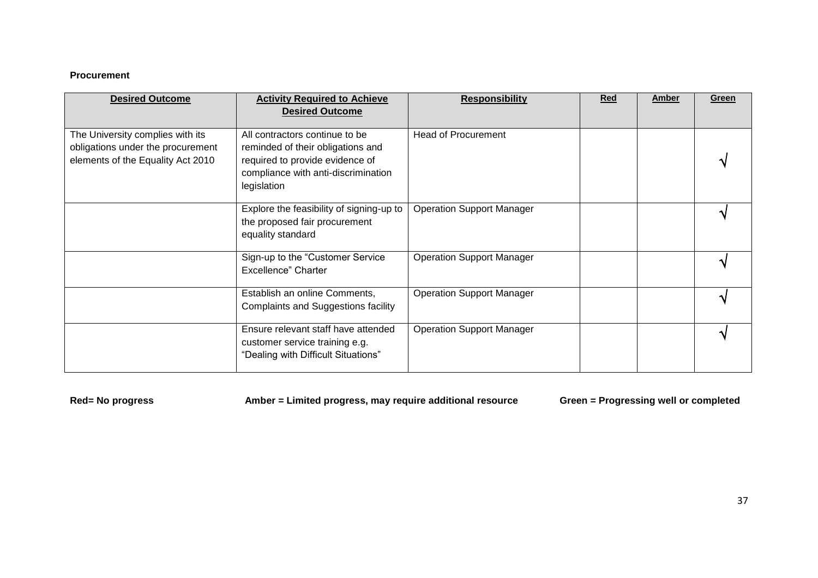#### **Procurement**

| <b>Desired Outcome</b>                                                                                     | <b>Activity Required to Achieve</b><br><b>Desired Outcome</b>                                                                                                | <b>Responsibility</b>            | Red | Amber | Green |
|------------------------------------------------------------------------------------------------------------|--------------------------------------------------------------------------------------------------------------------------------------------------------------|----------------------------------|-----|-------|-------|
| The University complies with its<br>obligations under the procurement<br>elements of the Equality Act 2010 | All contractors continue to be<br>reminded of their obligations and<br>required to provide evidence of<br>compliance with anti-discrimination<br>legislation | <b>Head of Procurement</b>       |     |       |       |
|                                                                                                            | Explore the feasibility of signing-up to<br>the proposed fair procurement<br>equality standard                                                               | <b>Operation Support Manager</b> |     |       |       |
|                                                                                                            | Sign-up to the "Customer Service<br>Excellence" Charter                                                                                                      | <b>Operation Support Manager</b> |     |       |       |
|                                                                                                            | Establish an online Comments,<br><b>Complaints and Suggestions facility</b>                                                                                  | <b>Operation Support Manager</b> |     |       |       |
|                                                                                                            | Ensure relevant staff have attended<br>customer service training e.g.<br>"Dealing with Difficult Situations"                                                 | <b>Operation Support Manager</b> |     |       |       |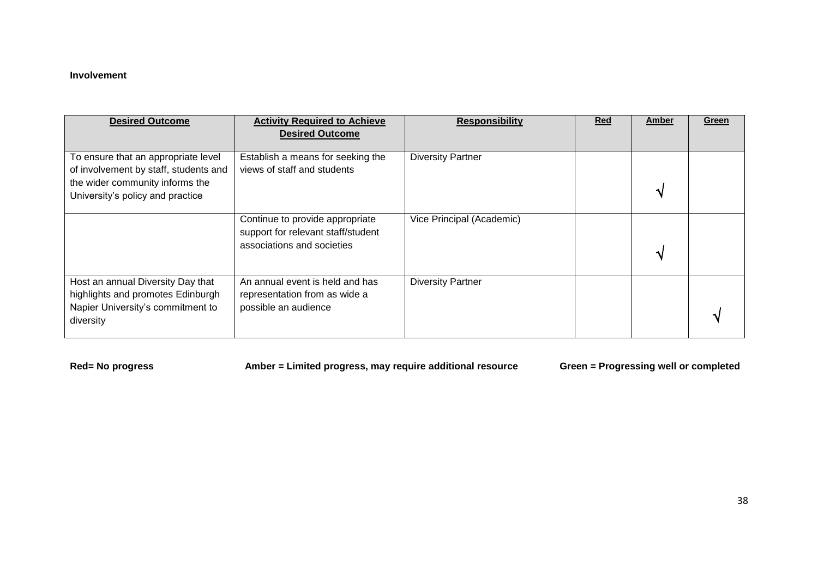#### **Involvement**

| <b>Desired Outcome</b>                                                                                                                              | <b>Activity Required to Achieve</b><br><b>Desired Outcome</b>                                       | <b>Responsibility</b>     | <b>Red</b> | Amber | Green |
|-----------------------------------------------------------------------------------------------------------------------------------------------------|-----------------------------------------------------------------------------------------------------|---------------------------|------------|-------|-------|
| To ensure that an appropriate level<br>of involvement by staff, students and<br>the wider community informs the<br>University's policy and practice | Establish a means for seeking the<br>views of staff and students                                    | <b>Diversity Partner</b>  |            |       |       |
|                                                                                                                                                     | Continue to provide appropriate<br>support for relevant staff/student<br>associations and societies | Vice Principal (Academic) |            |       |       |
| Host an annual Diversity Day that<br>highlights and promotes Edinburgh<br>Napier University's commitment to<br>diversity                            | An annual event is held and has<br>representation from as wide a<br>possible an audience            | <b>Diversity Partner</b>  |            |       |       |